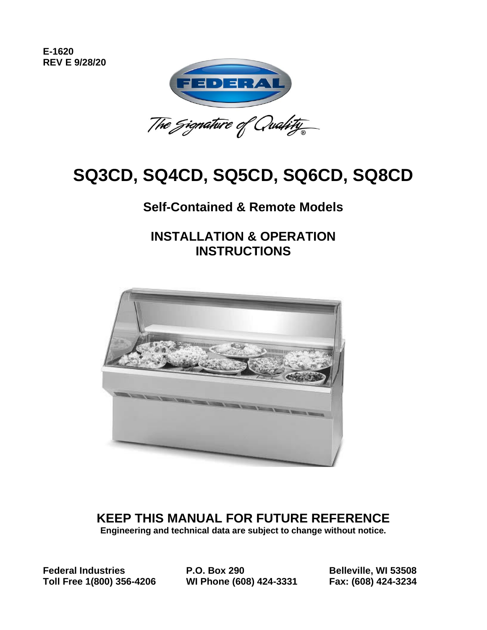**E-1620 REV E 9/28/20**



# **SQ3CD, SQ4CD, SQ5CD, SQ6CD, SQ8CD**

### **Self-Contained & Remote Models**

**INSTALLATION & OPERATION INSTRUCTIONS**



**KEEP THIS MANUAL FOR FUTURE REFERENCE Engineering and technical data are subject to change without notice.**

**Federal Industries P.O. Box 290 Belleville, WI 53508 Toll Free 1(800) 356-4206 WI Phone (608) 424-3331 Fax: (608) 424-3234**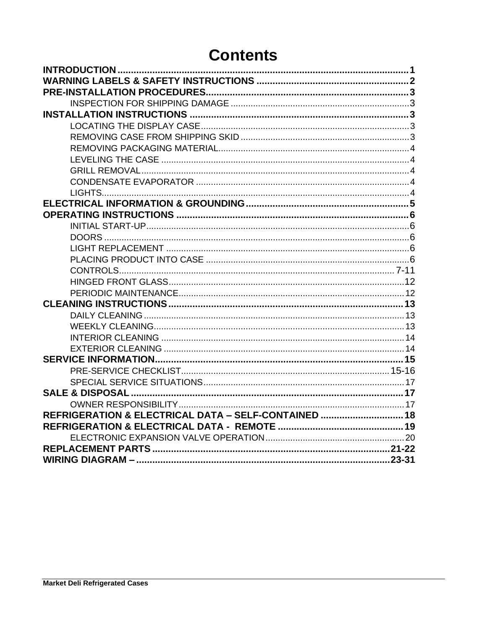## **Contents**

| REFRIGERATION & ELECTRICAL DATA - SELF-CONTAINED  18 |  |
|------------------------------------------------------|--|
|                                                      |  |
|                                                      |  |
|                                                      |  |
|                                                      |  |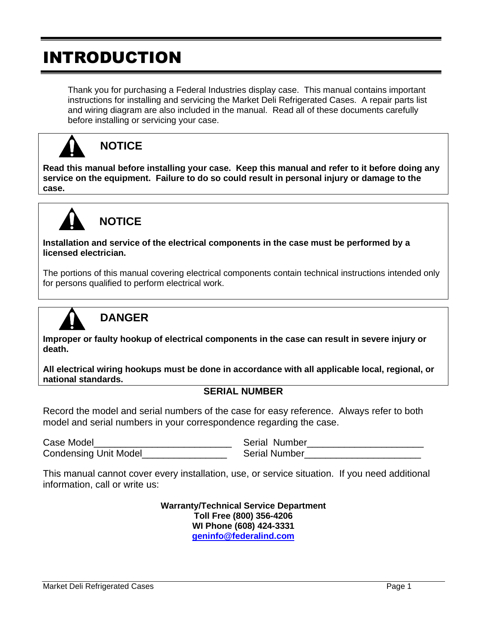# INTRODUCTION

Thank you for purchasing a Federal Industries display case. This manual contains important instructions for installing and servicing the Market Deli Refrigerated Cases. A repair parts list and wiring diagram are also included in the manual. Read all of these documents carefully before installing or servicing your case.



#### **NOTICE**

**Read this manual before installing your case. Keep this manual and refer to it before doing any service on the equipment. Failure to do so could result in personal injury or damage to the case.**



### **NOTICE**

**Installation and service of the electrical components in the case must be performed by a licensed electrician.**

The portions of this manual covering electrical components contain technical instructions intended only for persons qualified to perform electrical work.



### **DANGER**

**Improper or faulty hookup of electrical components in the case can result in severe injury or death.**

**All electrical wiring hookups must be done in accordance with all applicable local, regional, or national standards.**

#### **SERIAL NUMBER**

Record the model and serial numbers of the case for easy reference. Always refer to both model and serial numbers in your correspondence regarding the case.

Case Model **Example 20 and Serial Number** Serial Number Condensing Unit Model The Condensing Onit Model Serial Number

This manual cannot cover every installation, use, or service situation. If you need additional information, call or write us:

> **Warranty/Technical Service Department Toll Free (800) 356-4206 WI Phone (608) 424-3331 [geninfo@federalind.com](mailto:geninfo@federalind.com)**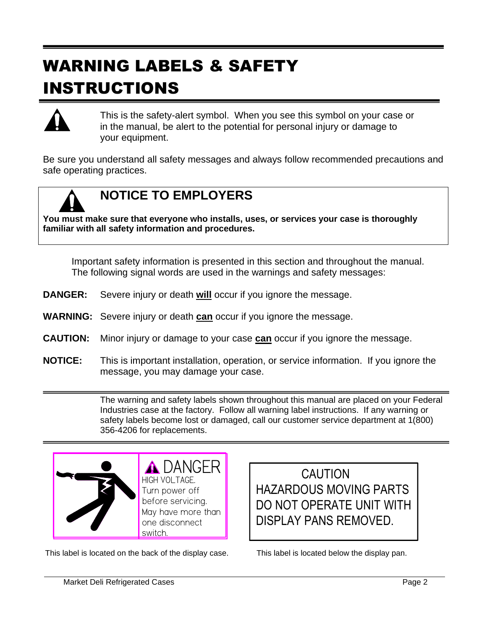# WARNING LABELS & SAFETY INSTRUCTIONS



This is the safety-alert symbol. When you see this symbol on your case or in the manual, be alert to the potential for personal injury or damage to your equipment.

Be sure you understand all safety messages and always follow recommended precautions and safe operating practices.



### **NOTICE TO EMPLOYERS**

**You must make sure that everyone who installs, uses, or services your case is thoroughly familiar with all safety information and procedures.**

Important safety information is presented in this section and throughout the manual. The following signal words are used in the warnings and safety messages:

- **DANGER:** Severe injury or death **will** occur if you ignore the message.
- **WARNING:** Severe injury or death **can** occur if you ignore the message.
- **CAUTION:** Minor injury or damage to your case **can** occur if you ignore the message.
- **NOTICE:** This is important installation, operation, or service information. If you ignore the message, you may damage your case.

The warning and safety labels shown throughout this manual are placed on your Federal Industries case at the factory. Follow all warning label instructions. If any warning or safety labels become lost or damaged, call our customer service department at 1(800) 356-4206 for replacements.



This label is located on the back of the display case. This label is located below the display pan.

 CAUTION HAZARDOUS MOVING PARTS DO NOT OPERATE UNIT WITH DISPLAY PANS REMOVED.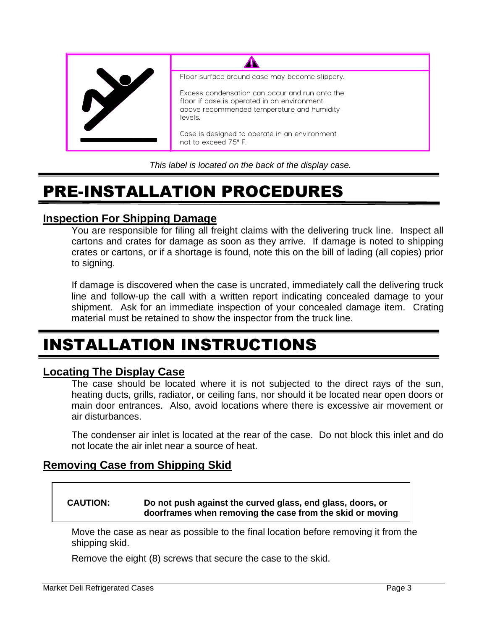

*This label is located on the back of the display case.*

# PRE-INSTALLATION PROCEDURES

#### **Inspection For Shipping Damage**

You are responsible for filing all freight claims with the delivering truck line. Inspect all cartons and crates for damage as soon as they arrive. If damage is noted to shipping crates or cartons, or if a shortage is found, note this on the bill of lading (all copies) prior to signing.

If damage is discovered when the case is uncrated, immediately call the delivering truck line and follow-up the call with a written report indicating concealed damage to your shipment. Ask for an immediate inspection of your concealed damage item. Crating material must be retained to show the inspector from the truck line.

# INSTALLATION INSTRUCTIONS

#### **Locating The Display Case**

The case should be located where it is not subjected to the direct rays of the sun, heating ducts, grills, radiator, or ceiling fans, nor should it be located near open doors or main door entrances. Also, avoid locations where there is excessive air movement or air disturbances.

The condenser air inlet is located at the rear of the case. Do not block this inlet and do not locate the air inlet near a source of heat.

#### **Removing Case from Shipping Skid**

#### **CAUTION: Do not push against the curved glass, end glass, doors, or doorframes when removing the case from the skid or moving**

Move the case as near as possible to the final location before removing it from the shipping skid. **the case. Case damage or glass breakage could result.**

Remove the eight (8) screws that secure the case to the skid.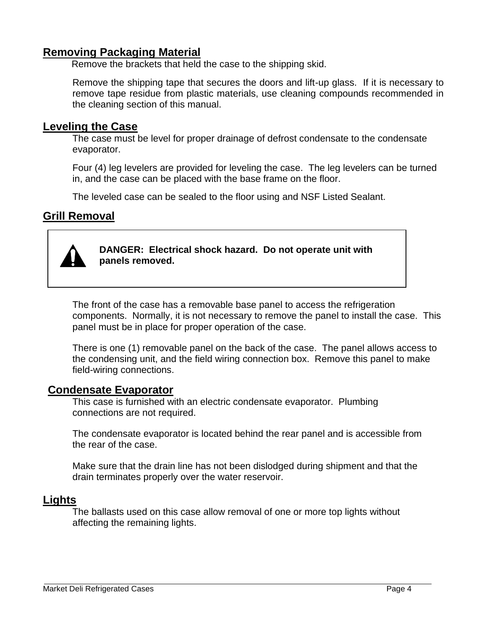#### **Removing Packaging Material**

Remove the brackets that held the case to the shipping skid.

Remove the shipping tape that secures the doors and lift-up glass. If it is necessary to remove tape residue from plastic materials, use cleaning compounds recommended in the cleaning section of this manual.

#### **Leveling the Case**

The case must be level for proper drainage of defrost condensate to the condensate evaporator.

Four (4) leg levelers are provided for leveling the case. The leg levelers can be turned in, and the case can be placed with the base frame on the floor.

The leveled case can be sealed to the floor using and NSF Listed Sealant.

#### **Grill Removal**



**DANGER: Electrical shock hazard. Do not operate unit with panels removed.**

The front of the case has a removable base panel to access the refrigeration components. Normally, it is not necessary to remove the panel to install the case. This panel must be in place for proper operation of the case.

There is one (1) removable panel on the back of the case. The panel allows access to the condensing unit, and the field wiring connection box. Remove this panel to make field-wiring connections.

#### **Condensate Evaporator**

This case is furnished with an electric condensate evaporator. Plumbing connections are not required.

The condensate evaporator is located behind the rear panel and is accessible from the rear of the case.

Make sure that the drain line has not been dislodged during shipment and that the drain terminates properly over the water reservoir.

#### **Lights**

The ballasts used on this case allow removal of one or more top lights without affecting the remaining lights.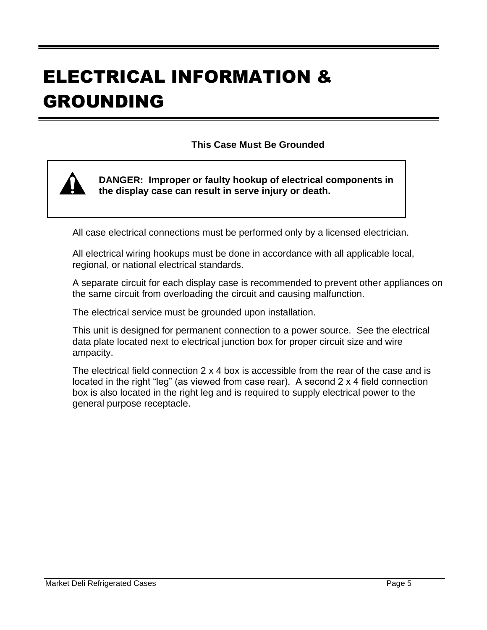# ELECTRICAL INFORMATION & GROUNDING

#### **This Case Must Be Grounded**



**DANGER: Improper or faulty hookup of electrical components in the display case can result in serve injury or death.**

All case electrical connections must be performed only by a licensed electrician.

All electrical wiring hookups must be done in accordance with all applicable local, regional, or national electrical standards.

A separate circuit for each display case is recommended to prevent other appliances on the same circuit from overloading the circuit and causing malfunction.

The electrical service must be grounded upon installation.

This unit is designed for permanent connection to a power source. See the electrical data plate located next to electrical junction box for proper circuit size and wire ampacity.

The electrical field connection 2 x 4 box is accessible from the rear of the case and is located in the right "leg" (as viewed from case rear). A second 2 x 4 field connection box is also located in the right leg and is required to supply electrical power to the general purpose receptacle.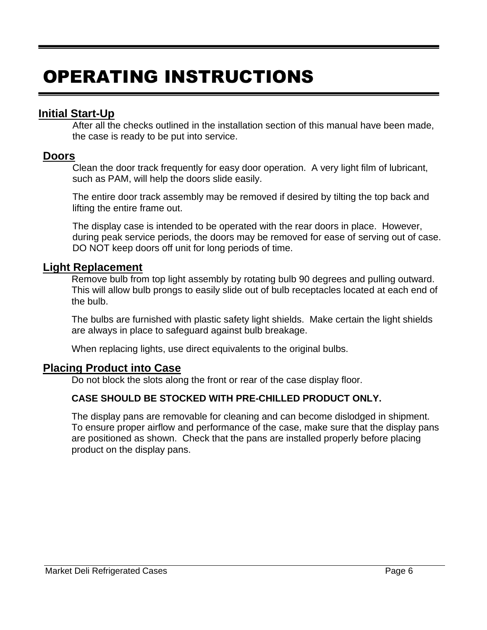# OPERATING INSTRUCTIONS

#### **Initial Start-Up**

After all the checks outlined in the installation section of this manual have been made, the case is ready to be put into service.

#### **Doors**

Clean the door track frequently for easy door operation. A very light film of lubricant, such as PAM, will help the doors slide easily.

The entire door track assembly may be removed if desired by tilting the top back and lifting the entire frame out.

The display case is intended to be operated with the rear doors in place. However, during peak service periods, the doors may be removed for ease of serving out of case. DO NOT keep doors off unit for long periods of time.

#### **Light Replacement**

Remove bulb from top light assembly by rotating bulb 90 degrees and pulling outward. This will allow bulb prongs to easily slide out of bulb receptacles located at each end of the bulb.

The bulbs are furnished with plastic safety light shields. Make certain the light shields are always in place to safeguard against bulb breakage.

When replacing lights, use direct equivalents to the original bulbs.

#### **Placing Product into Case**

Do not block the slots along the front or rear of the case display floor.

#### **CASE SHOULD BE STOCKED WITH PRE-CHILLED PRODUCT ONLY.**

The display pans are removable for cleaning and can become dislodged in shipment. To ensure proper airflow and performance of the case, make sure that the display pans are positioned as shown. Check that the pans are installed properly before placing product on the display pans.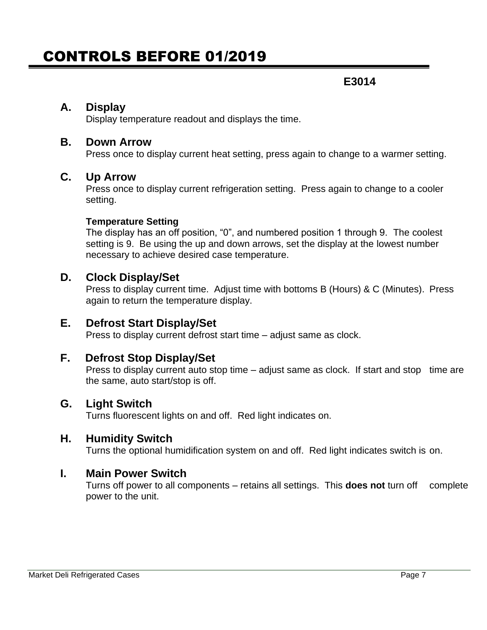### CONTROLS BEFORE 01/2019

#### **E3014**

#### **A. Display**

Display temperature readout and displays the time.

#### **B. Down Arrow**

Press once to display current heat setting, press again to change to a warmer setting.

#### **C. Up Arrow**

Press once to display current refrigeration setting. Press again to change to a cooler setting.

#### **Temperature Setting**

The display has an off position, "0", and numbered position 1 through 9. The coolest setting is 9. Be using the up and down arrows, set the display at the lowest number necessary to achieve desired case temperature.

#### **D. Clock Display/Set**

Press to display current time. Adjust time with bottoms B (Hours) & C (Minutes). Press again to return the temperature display.

#### **E. Defrost Start Display/Set**

Press to display current defrost start time – adjust same as clock.

#### **F. Defrost Stop Display/Set**

Press to display current auto stop time – adjust same as clock. If start and stop time are the same, auto start/stop is off.

#### **G. Light Switch**

Turns fluorescent lights on and off. Red light indicates on.

#### **H. Humidity Switch**

Turns the optional humidification system on and off. Red light indicates switch is on.

#### **I. Main Power Switch**

Turns off power to all components – retains all settings. This **does not** turn off complete power to the unit.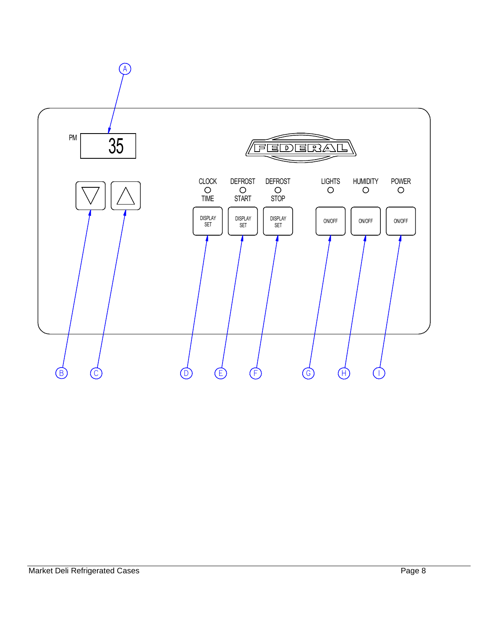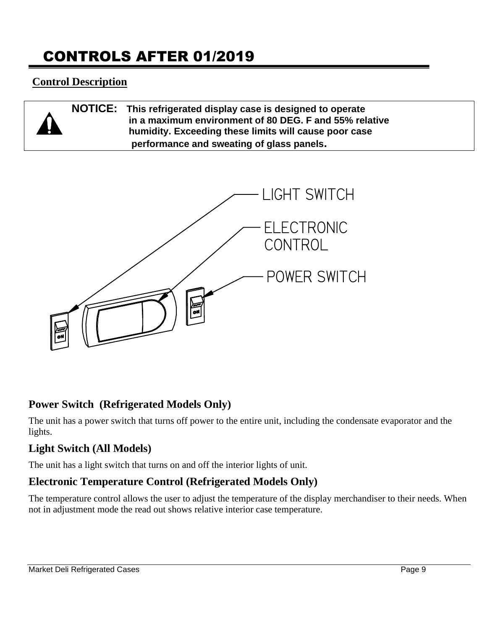## CONTROLS AFTER 01/2019

#### **Control Description**

| $\Delta$ | NOTICE: This refrigerated display case is designed to operate                                                   |
|----------|-----------------------------------------------------------------------------------------------------------------|
|          | in a maximum environment of 80 DEG. F and 55% relative<br>humidity. Exceeding these limits will cause poor case |
|          | performance and sweating of glass panels.                                                                       |



#### **Power Switch (Refrigerated Models Only)**

The unit has a power switch that turns off power to the entire unit, including the condensate evaporator and the lights.

#### **Light Switch (All Models)**

The unit has a light switch that turns on and off the interior lights of unit.

#### **Electronic Temperature Control (Refrigerated Models Only)**

The temperature control allows the user to adjust the temperature of the display merchandiser to their needs. When not in adjustment mode the read out shows relative interior case temperature.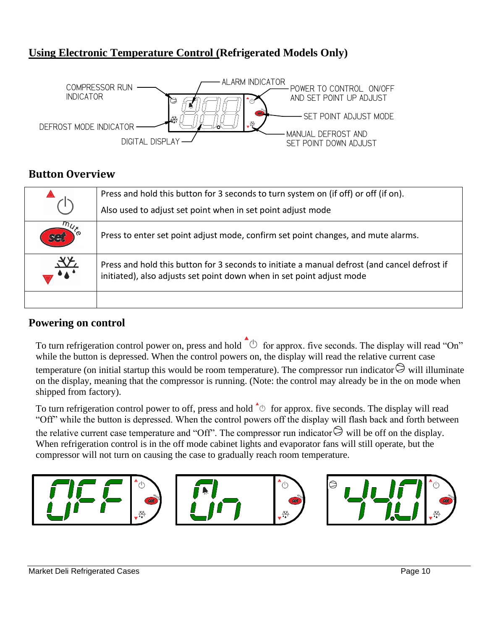#### **Using Electronic Temperature Control (Refrigerated Models Only)**



#### **Button Overview**

|               | Press and hold this button for 3 seconds to turn system on (if off) or off (if on).<br>Also used to adjust set point when in set point adjust mode                    |
|---------------|-----------------------------------------------------------------------------------------------------------------------------------------------------------------------|
| $m_{U}$       | Press to enter set point adjust mode, confirm set point changes, and mute alarms.                                                                                     |
| $\frac{1}{2}$ | Press and hold this button for 3 seconds to initiate a manual defrost (and cancel defrost if<br>initiated), also adjusts set point down when in set point adjust mode |
|               |                                                                                                                                                                       |

#### **Powering on control**

To turn refrigeration control power on, press and hold  $\phi$  for approx. five seconds. The display will read "On" while the button is depressed. When the control powers on, the display will read the relative current case temperature (on initial startup this would be room temperature). The compressor run indicator  $\Theta$  will illuminate on the display, meaning that the compressor is running. (Note: the control may already be in the on mode when shipped from factory).

To turn refrigeration control power to off, press and hold  $\phi$  for approx. five seconds. The display will read "Off" while the button is depressed. When the control powers off the display will flash back and forth between the relative current case temperature and "Off". The compressor run indicator  $\Theta$  will be off on the display. When refrigeration control is in the off mode cabinet lights and evaporator fans will still operate, but the compressor will not turn on causing the case to gradually reach room temperature.

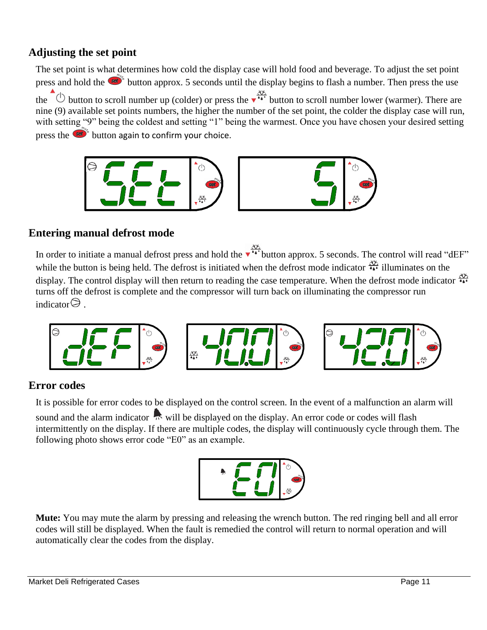#### **Adjusting the set point**

The set point is what determines how cold the display case will hold food and beverage. To adjust the set point press and hold the  $\bullet$  button approx. 5 seconds until the display begins to flash a number. Then press the use the  $\overline{O}$  button to scroll number up (colder) or press the  $\overline{O}^{X\overline{A}}$  button to scroll number lower (warmer). There are nine (9) available set points numbers, the higher the number of the set point, the colder the display case will run, with setting "9" being the coldest and setting "1" being the warmest. Once you have chosen your desired setting press the  $\circled{st}^*$  button again to confirm your choice.



#### **Entering manual defrost mode**

In order to initiate a manual defrost press and hold the  $\overrightarrow{ }$   $\overrightarrow{ }$  button approx. 5 seconds. The control will read "dEF" while the button is being held. The defrost is initiated when the defrost mode indicator  $\frac{X}{A}$  illuminates on the display. The control display will then return to reading the case temperature. When the defrost mode indicator  $\frac{30}{44}$ turns off the defrost is complete and the compressor will turn back on illuminating the compressor run indicator $\Theta$ .



#### **Error codes**

It is possible for error codes to be displayed on the control screen. In the event of a malfunction an alarm will

sound and the alarm indicator will be displayed on the display. An error code or codes will flash intermittently on the display. If there are multiple codes, the display will continuously cycle through them. The following photo shows error code "E0" as an example.



**Mute:** You may mute the alarm by pressing and releasing the wrench button. The red ringing bell and all error codes will still be displayed. When the fault is remedied the control will return to normal operation and will automatically clear the codes from the display.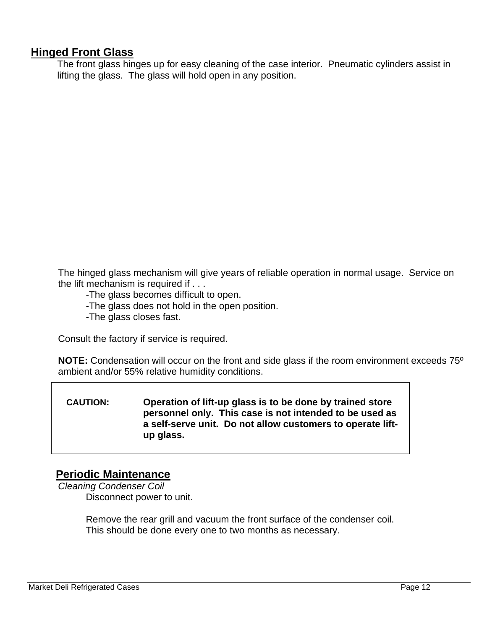#### **Hinged Front Glass**

The front glass hinges up for easy cleaning of the case interior. Pneumatic cylinders assist in lifting the glass. The glass will hold open in any position.

The hinged glass mechanism will give years of reliable operation in normal usage. Service on the lift mechanism is required if . . .

- -The glass becomes difficult to open.
- -The glass does not hold in the open position.
- -The glass closes fast.

Consult the factory if service is required.

**NOTE:** Condensation will occur on the front and side glass if the room environment exceeds 75º ambient and/or 55% relative humidity conditions.

#### **CAUTION: Operation of lift-up glass is to be done by trained store personnel only. This case is not intended to be used as a self-serve unit. Do not allow customers to operate liftup glass.**

#### **Periodic Maintenance**

*Cleaning Condenser Coil* Disconnect power to unit.

> Remove the rear grill and vacuum the front surface of the condenser coil. This should be done every one to two months as necessary.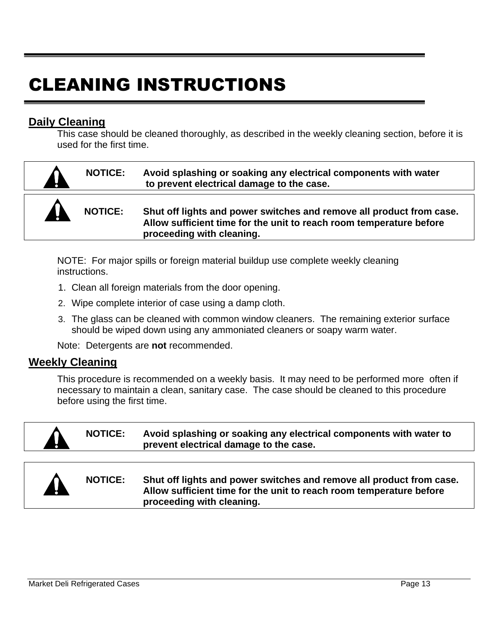# CLEANING INSTRUCTIONS

#### **Daily Cleaning**

This case should be cleaned thoroughly, as described in the weekly cleaning section, before it is used for the first time.

|    | <b>NOTICE:</b> | Avoid splashing or soaking any electrical components with water<br>to prevent electrical damage to the case.                                                             |
|----|----------------|--------------------------------------------------------------------------------------------------------------------------------------------------------------------------|
| Ab | <b>NOTICE:</b> | Shut off lights and power switches and remove all product from case.<br>Allow sufficient time for the unit to reach room temperature before<br>proceeding with cleaning. |

NOTE: For major spills or foreign material buildup use complete weekly cleaning instructions.

- 1. Clean all foreign materials from the door opening.
- 2. Wipe complete interior of case using a damp cloth.
- 3. The glass can be cleaned with common window cleaners. The remaining exterior surface should be wiped down using any ammoniated cleaners or soapy warm water.

Note: Detergents are **not** recommended.

#### **Weekly Cleaning**

This procedure is recommended on a weekly basis. It may need to be performed more often if necessary to maintain a clean, sanitary case. The case should be cleaned to this procedure before using the first time.

|           | <b>NOTICE:</b> | Avoid splashing or soaking any electrical components with water to<br>prevent electrical damage to the case.                                                             |
|-----------|----------------|--------------------------------------------------------------------------------------------------------------------------------------------------------------------------|
|           |                |                                                                                                                                                                          |
| <b>AL</b> | <b>NOTICE:</b> | Shut off lights and power switches and remove all product from case.<br>Allow sufficient time for the unit to reach room temperature before<br>proceeding with cleaning. |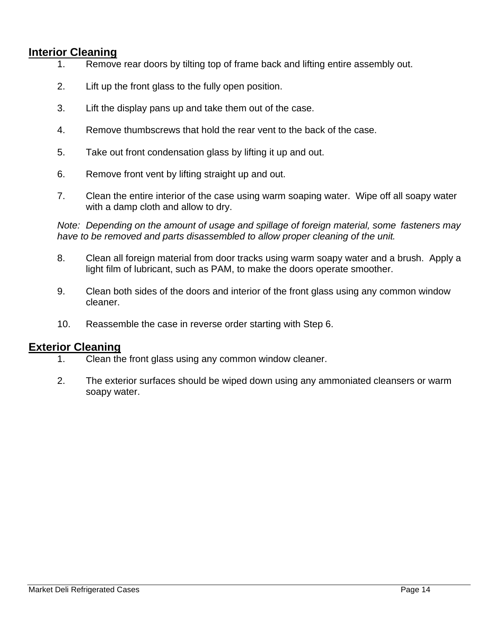#### **Interior Cleaning**

- 1. Remove rear doors by tilting top of frame back and lifting entire assembly out.
- 2. Lift up the front glass to the fully open position.
- 3. Lift the display pans up and take them out of the case.
- 4. Remove thumbscrews that hold the rear vent to the back of the case.
- 5. Take out front condensation glass by lifting it up and out.
- 6. Remove front vent by lifting straight up and out.
- 7. Clean the entire interior of the case using warm soaping water. Wipe off all soapy water with a damp cloth and allow to dry.

*Note: Depending on the amount of usage and spillage of foreign material, some fasteners may have to be removed and parts disassembled to allow proper cleaning of the unit.*

- 8. Clean all foreign material from door tracks using warm soapy water and a brush. Apply a light film of lubricant, such as PAM, to make the doors operate smoother.
- 9. Clean both sides of the doors and interior of the front glass using any common window cleaner.
- 10. Reassemble the case in reverse order starting with Step 6.

#### **Exterior Cleaning**

- 1. Clean the front glass using any common window cleaner.
- 2. The exterior surfaces should be wiped down using any ammoniated cleansers or warm soapy water.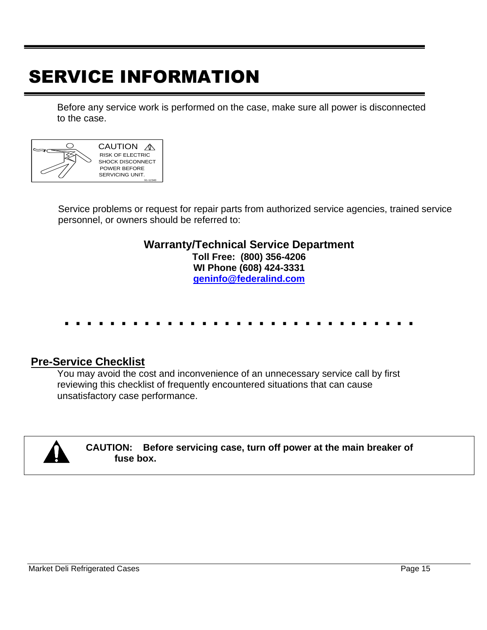# SERVICE INFORMATION

Before any service work is performed on the case, make sure all power is disconnected to the case.



Service problems or request for repair parts from authorized service agencies, trained service personnel, or owners should be referred to:

#### **Warranty/Technical Service Department Toll Free: (800) 356-4206 WI Phone (608) 424-3331 [geninfo@federalind.com](mailto:geninfo@federalind.com)**

# **. . . . . . . . . . . . . . . . . . . . . . . . . . . . . . .**

#### **Pre-Service Checklist**

You may avoid the cost and inconvenience of an unnecessary service call by first reviewing this checklist of frequently encountered situations that can cause unsatisfactory case performance.



#### **CAUTION: Before servicing case, turn off power at the main breaker of fuse box.**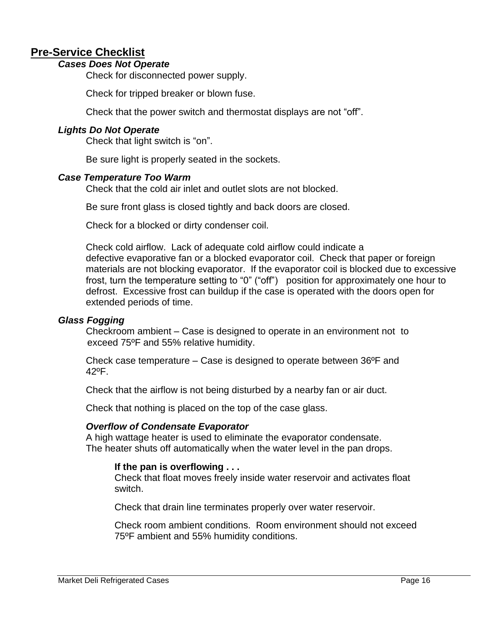#### **Pre-Service Checklist**

#### *Cases Does Not Operate*

Check for disconnected power supply.

Check for tripped breaker or blown fuse.

Check that the power switch and thermostat displays are not "off".

#### *Lights Do Not Operate*

Check that light switch is "on".

Be sure light is properly seated in the sockets.

#### *Case Temperature Too Warm*

Check that the cold air inlet and outlet slots are not blocked.

Be sure front glass is closed tightly and back doors are closed.

Check for a blocked or dirty condenser coil.

Check cold airflow. Lack of adequate cold airflow could indicate a defective evaporative fan or a blocked evaporator coil. Check that paper or foreign materials are not blocking evaporator. If the evaporator coil is blocked due to excessive frost, turn the temperature setting to "0" ("off") position for approximately one hour to defrost. Excessive frost can buildup if the case is operated with the doors open for extended periods of time.

#### *Glass Fogging*

Checkroom ambient – Case is designed to operate in an environment not to exceed 75ºF and 55% relative humidity.

Check case temperature – Case is designed to operate between 36ºF and 42ºF.

Check that the airflow is not being disturbed by a nearby fan or air duct.

Check that nothing is placed on the top of the case glass.

#### *Overflow of Condensate Evaporator*

A high wattage heater is used to eliminate the evaporator condensate. The heater shuts off automatically when the water level in the pan drops.

#### **If the pan is overflowing . . .**

Check that float moves freely inside water reservoir and activates float switch.

Check that drain line terminates properly over water reservoir.

Check room ambient conditions. Room environment should not exceed 75ºF ambient and 55% humidity conditions.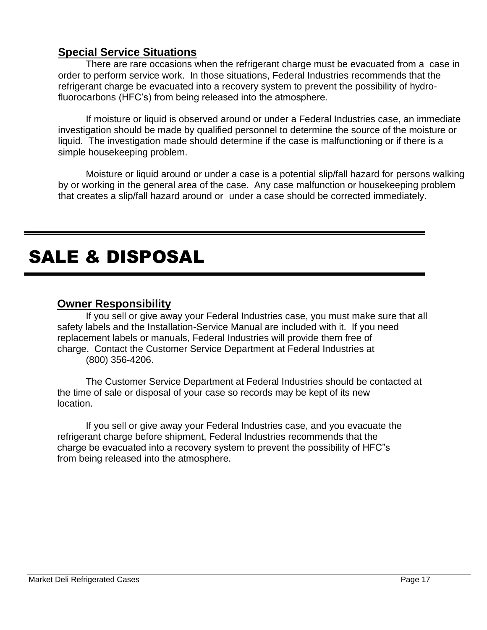#### **Special Service Situations**

There are rare occasions when the refrigerant charge must be evacuated from a case in order to perform service work. In those situations, Federal Industries recommends that the refrigerant charge be evacuated into a recovery system to prevent the possibility of hydrofluorocarbons (HFC's) from being released into the atmosphere.

If moisture or liquid is observed around or under a Federal Industries case, an immediate investigation should be made by qualified personnel to determine the source of the moisture or liquid. The investigation made should determine if the case is malfunctioning or if there is a simple housekeeping problem.

Moisture or liquid around or under a case is a potential slip/fall hazard for persons walking by or working in the general area of the case. Any case malfunction or housekeeping problem that creates a slip/fall hazard around or under a case should be corrected immediately.

# SALE & DISPOSAL

#### **Owner Responsibility**

If you sell or give away your Federal Industries case, you must make sure that all safety labels and the Installation-Service Manual are included with it. If you need replacement labels or manuals, Federal Industries will provide them free of charge. Contact the Customer Service Department at Federal Industries at (800) 356-4206.

The Customer Service Department at Federal Industries should be contacted at the time of sale or disposal of your case so records may be kept of its new location.

If you sell or give away your Federal Industries case, and you evacuate the refrigerant charge before shipment, Federal Industries recommends that the charge be evacuated into a recovery system to prevent the possibility of HFC"s from being released into the atmosphere.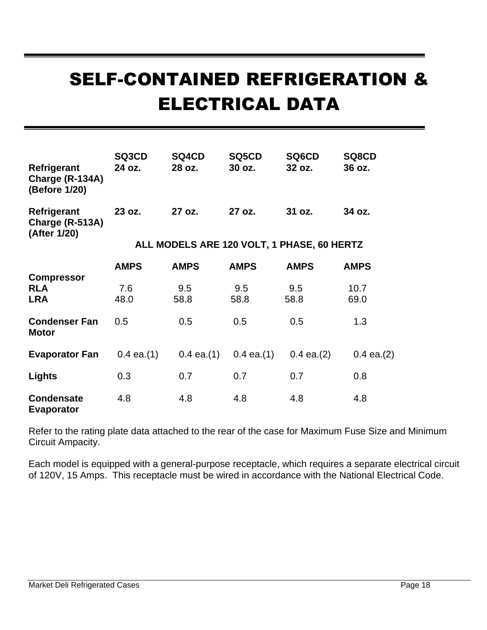# SELF-CONTAINED REFRIGERATION & ELECTRICAL DATA

| Refrigerant<br>Charge (R-134A)<br>(Before 1/20) | SQ3CD<br>24 oz. | SQ4CD<br>28 oz.                            | SQ5CD<br>30 oz. | SQ6CD<br>32 oz. | SQ8CD<br>36 oz. |
|-------------------------------------------------|-----------------|--------------------------------------------|-----------------|-----------------|-----------------|
| Refrigerant<br>Charge (R-513A)<br>(After 1/20)  | 23 oz.          | 27 oz.                                     | 27 oz.          | 31 oz.          | 34 oz.          |
|                                                 |                 | ALL MODELS ARE 120 VOLT, 1 PHASE, 60 HERTZ |                 |                 |                 |
|                                                 | <b>AMPS</b>     | <b>AMPS</b>                                | <b>AMPS</b>     | <b>AMPS</b>     | <b>AMPS</b>     |
| <b>Compressor</b><br><b>RLA</b><br><b>LRA</b>   | 7.6<br>48.0     | 9.5<br>58.8                                | 9.5<br>58.8     | 9.5<br>58.8     | 10.7<br>69.0    |
| <b>Condenser Fan</b><br><b>Motor</b>            | 0.5             | 0.5                                        | 0.5             | 0.5             | 1.3             |
| <b>Evaporator Fan</b>                           | $0.4$ ea. $(1)$ | $0.4$ ea. $(1)$                            | $0.4$ ea. $(1)$ | $0.4$ ea. $(2)$ | $0.4$ ea. $(2)$ |
| Lights                                          | 0.3             | 0.7                                        | 0.7             | 0.7             | 0.8             |
| <b>Condensate</b><br><b>Evaporator</b>          | 4.8             | 4.8                                        | 4.8             | 4.8             | 4.8             |

Refer to the rating plate data attached to the rear of the case for Maximum Fuse Size and Minimum Circuit Ampacity.

Each model is equipped with a general-purpose receptacle, which requires a separate electrical circuit of 120V, 15 Amps. This receptacle must be wired in accordance with the National Electrical Code.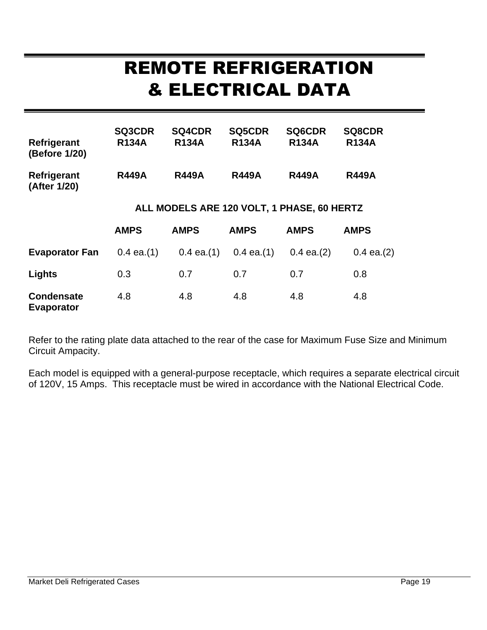# REMOTE REFRIGERATION & ELECTRICAL DATA

| Refrigerant<br>(Before 1/20)           | <b>SQ3CDR</b><br><b>R134A</b> | <b>SQ4CDR</b><br><b>R134A</b>              | <b>SQ5CDR</b><br><b>R134A</b> | <b>SQ6CDR</b><br><b>R134A</b> | <b>SQ8CDR</b><br><b>R134A</b> |
|----------------------------------------|-------------------------------|--------------------------------------------|-------------------------------|-------------------------------|-------------------------------|
| Refrigerant<br>(After 1/20)            | <b>R449A</b>                  | <b>R449A</b>                               | <b>R449A</b>                  | <b>R449A</b>                  | <b>R449A</b>                  |
|                                        |                               | ALL MODELS ARE 120 VOLT, 1 PHASE, 60 HERTZ |                               |                               |                               |
|                                        | <b>AMPS</b>                   | <b>AMPS</b>                                | <b>AMPS</b>                   | <b>AMPS</b>                   | <b>AMPS</b>                   |
| <b>Evaporator Fan</b>                  | $0.4$ ea. $(1)$               | $0.4$ ea. $(1)$                            | $0.4$ ea. $(1)$               | $0.4$ ea. $(2)$               | $0.4$ ea. $(2)$               |
| Lights                                 | 0.3                           | 0.7                                        | 0.7                           | 0.7                           | 0.8                           |
| <b>Condensate</b><br><b>Evaporator</b> | 4.8                           | 4.8                                        | 4.8                           | 4.8                           | 4.8                           |

Refer to the rating plate data attached to the rear of the case for Maximum Fuse Size and Minimum Circuit Ampacity.

Each model is equipped with a general-purpose receptacle, which requires a separate electrical circuit of 120V, 15 Amps. This receptacle must be wired in accordance with the National Electrical Code.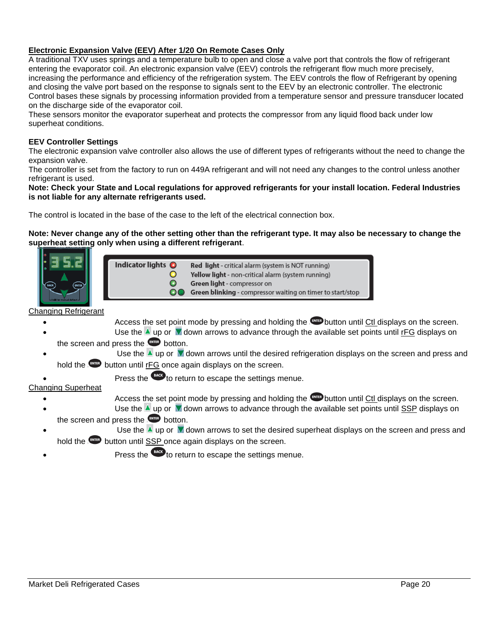#### **Electronic Expansion Valve (EEV) After 1/20 On Remote Cases Only**

A traditional TXV uses springs and a temperature bulb to open and close a valve port that controls the flow of refrigerant entering the evaporator coil. An electronic expansion valve (EEV) controls the refrigerant flow much more precisely, increasing the performance and efficiency of the refrigeration system. The EEV controls the flow of Refrigerant by opening and closing the valve port based on the response to signals sent to the EEV by an electronic controller. The electronic Control bases these signals by processing information provided from a temperature sensor and pressure transducer located on the discharge side of the evaporator coil.

These sensors monitor the evaporator superheat and protects the compressor from any liquid flood back under low superheat conditions.

#### **EEV Controller Settings**

The electronic expansion valve controller also allows the use of different types of refrigerants without the need to change the expansion valve.

The controller is set from the factory to run on 449A refrigerant and will not need any changes to the control unless another refrigerant is used.

**Note: Check your State and Local regulations for approved refrigerants for your install location. Federal Industries is not liable for any alternate refrigerants used.**

The control is located in the base of the case to the left of the electrical connection box.

#### **Note: Never change any of the other setting other than the refrigerant type. It may also be necessary to change the superheat setting only when using a different refrigerant**.



| ıl |                           |                                                            |
|----|---------------------------|------------------------------------------------------------|
|    | Indicator lights <b>O</b> | <b>Red light</b> - critical alarm (system is NOT running)  |
|    |                           | Yellow light - non-critical alarm (system running)         |
|    |                           | <b>Green light</b> - compressor on                         |
|    | OO                        | Green blinking - compressor waiting on timer to start/stop |

Changing Refrigerant

- Access the set point mode by pressing and holding the **CRYTES** button until Ctl displays on the screen.
- Use the  $\blacktriangle$  up or  $\blacktriangledown$  down arrows to advance through the available set points until rFG displays on the screen and press the **ENTER** botton.
- Use the  $\blacktriangle$  up or  $\blacktriangledown$  down arrows until the desired refrigeration displays on the screen and press and hold the **ENTER** button until rFG once again displays on the screen.

Press the **teack** to return to escape the settings menue.

#### Changing Superheat

- Access the set point mode by pressing and holding the **CRYTED** button until Ctl displays on the screen.
- Use the  $\blacktriangle$  up or  $\blacktriangledown$  down arrows to advance through the available set points until SSP displays on the screen and press the  $F$  botton.
- Use the  $\blacktriangle$  up or  $\blacktriangledown$  down arrows to set the desired superheat displays on the screen and press and hold the **ENTER** button until SSP once again displays on the screen.
- Press the **teach** to return to escape the settings menue.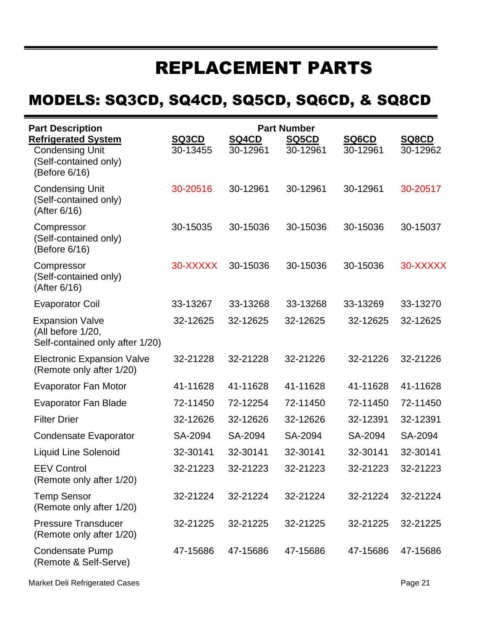# REPLACEMENT PARTS

## MODELS: SQ3CD, SQ4CD, SQ5CD, SQ6CD, & SQ8CD

| <b>Part Description</b>                                                                        |                   | <b>Part Number</b>       |                   |                   |                   |
|------------------------------------------------------------------------------------------------|-------------------|--------------------------|-------------------|-------------------|-------------------|
| <b>Refrigerated System</b><br><b>Condensing Unit</b><br>(Self-contained only)<br>(Before 6/16) | SQ3CD<br>30-13455 | <b>SQ4CD</b><br>30-12961 | SQ5CD<br>30-12961 | SQ6CD<br>30-12961 | SQ8CD<br>30-12962 |
| <b>Condensing Unit</b><br>(Self-contained only)<br>(After 6/16)                                | 30-20516          | 30-12961                 | 30-12961          | 30-12961          | 30-20517          |
| Compressor<br>(Self-contained only)<br>(Before 6/16)                                           | 30-15035          | 30-15036                 | 30-15036          | 30-15036          | 30-15037          |
| Compressor<br>(Self-contained only)<br>(After 6/16)                                            | 30-XXXXX          | 30-15036                 | 30-15036          | 30-15036          | 30-XXXXX          |
| <b>Evaporator Coil</b>                                                                         | 33-13267          | 33-13268                 | 33-13268          | 33-13269          | 33-13270          |
| <b>Expansion Valve</b><br>(All before 1/20,<br>Self-contained only after 1/20)                 | 32-12625          | 32-12625                 | 32-12625          | 32-12625          | 32-12625          |
| <b>Electronic Expansion Valve</b><br>(Remote only after 1/20)                                  | 32-21228          | 32-21228                 | 32-21226          | 32-21226          | 32-21226          |
| <b>Evaporator Fan Motor</b>                                                                    | 41-11628          | 41-11628                 | 41-11628          | 41-11628          | 41-11628          |
| <b>Evaporator Fan Blade</b>                                                                    | 72-11450          | 72-12254                 | 72-11450          | 72-11450          | 72-11450          |
| <b>Filter Drier</b>                                                                            | 32-12626          | 32-12626                 | 32-12626          | 32-12391          | 32-12391          |
| <b>Condensate Evaporator</b>                                                                   | SA-2094           | SA-2094                  | SA-2094           | SA-2094           | SA-2094           |
| <b>Liquid Line Solenoid</b>                                                                    | 32-30141          | 32-30141                 | 32-30141          | 32-30141          | 32-30141          |
| <b>EEV Control</b><br>(Remote only after 1/20)                                                 | 32-21223          | 32-21223                 | 32-21223          | 32-21223          | 32-21223          |
| <b>Temp Sensor</b><br>(Remote only after 1/20)                                                 | 32-21224          | 32-21224                 | 32-21224          | 32-21224          | 32-21224          |
| <b>Pressure Transducer</b><br>(Remote only after 1/20)                                         | 32-21225          | 32-21225                 | 32-21225          | 32-21225          | 32-21225          |
| <b>Condensate Pump</b><br>(Remote & Self-Serve)                                                | 47-15686          | 47-15686                 | 47-15686          | 47-15686          | 47-15686          |

Market Deli Refrigerated Cases **Page 21** Analysis of the United States Page 21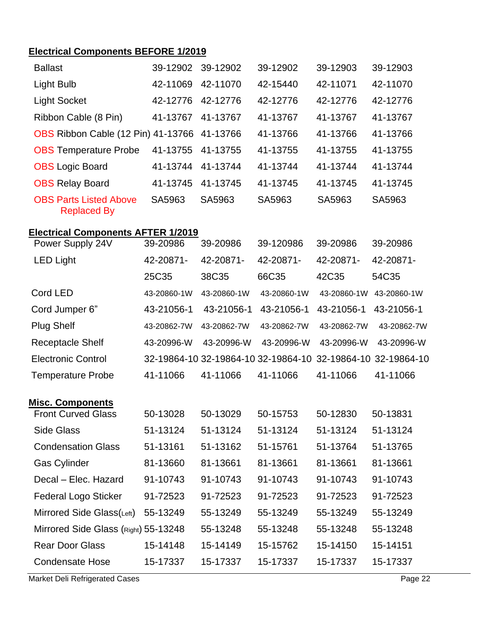#### **Electrical Components BEFORE 1/2019**

| <b>Ballast</b>                                      | 39-12902    | 39-12902    | 39-12902                            | 39-12903    | 39-12903    |
|-----------------------------------------------------|-------------|-------------|-------------------------------------|-------------|-------------|
| <b>Light Bulb</b>                                   | 42-11069    | 42-11070    | 42-15440                            | 42-11071    | 42-11070    |
| <b>Light Socket</b>                                 | 42-12776    | 42-12776    | 42-12776                            | 42-12776    | 42-12776    |
| Ribbon Cable (8 Pin)                                | 41-13767    | 41-13767    | 41-13767                            | 41-13767    | 41-13767    |
| OBS Ribbon Cable (12 Pin) 41-13766                  |             | 41-13766    | 41-13766                            | 41-13766    | 41-13766    |
| <b>OBS</b> Temperature Probe                        | 41-13755    | 41-13755    | 41-13755                            | 41-13755    | 41-13755    |
| <b>OBS</b> Logic Board                              | 41-13744    | 41-13744    | 41-13744                            | 41-13744    | 41-13744    |
| <b>OBS Relay Board</b>                              | 41-13745    | 41-13745    | 41-13745                            | 41-13745    | 41-13745    |
| <b>OBS Parts Listed Above</b><br><b>Replaced By</b> | SA5963      | SA5963      | SA5963                              | SA5963      | SA5963      |
| <b>Electrical Components AFTER 1/2019</b>           |             |             |                                     |             |             |
| Power Supply 24V                                    | 39-20986    | 39-20986    | 39-120986                           | 39-20986    | 39-20986    |
| <b>LED Light</b>                                    | 42-20871-   | 42-20871-   | 42-20871-                           | 42-20871-   | 42-20871-   |
|                                                     | 25C35       | 38C35       | 66C35                               | 42C35       | 54C35       |
| Cord LED                                            | 43-20860-1W | 43-20860-1W | 43-20860-1W                         | 43-20860-1W | 43-20860-1W |
| Cord Jumper 6"                                      | 43-21056-1  | 43-21056-1  | 43-21056-1                          | 43-21056-1  | 43-21056-1  |
| <b>Plug Shelf</b>                                   | 43-20862-7W | 43-20862-7W | 43-20862-7W                         | 43-20862-7W | 43-20862-7W |
| <b>Receptacle Shelf</b>                             | 43-20996-W  | 43-20996-W  | 43-20996-W                          | 43-20996-W  | 43-20996-W  |
| <b>Electronic Control</b>                           |             |             | 32-19864-10 32-19864-10 32-19864-10 | 32-19864-10 | 32-19864-10 |
| <b>Temperature Probe</b>                            | 41-11066    | 41-11066    | 41-11066                            | 41-11066    | 41-11066    |
| Misc. Components                                    |             |             |                                     |             |             |
| <b>Front Curved Glass</b>                           | 50-13028    | 50-13029    | 50-15753                            | 50-12830    | 50-13831    |
| Side Glass                                          | 51-13124    | 51-13124    | 51-13124                            | 51-13124    | 51-13124    |
| <b>Condensation Glass</b>                           | 51-13161    | 51-13162    | 51-15761                            | 51-13764    | 51-13765    |
| <b>Gas Cylinder</b>                                 | 81-13660    | 81-13661    | 81-13661                            | 81-13661    | 81-13661    |
| Decal - Elec. Hazard                                | 91-10743    | 91-10743    | 91-10743                            | 91-10743    | 91-10743    |
| <b>Federal Logo Sticker</b>                         | 91-72523    | 91-72523    | 91-72523                            | 91-72523    | 91-72523    |
| Mirrored Side Glass(Left)                           | 55-13249    | 55-13249    | 55-13249                            | 55-13249    | 55-13249    |
| Mirrored Side Glass (Right) 55-13248                |             | 55-13248    | 55-13248                            | 55-13248    | 55-13248    |
| <b>Rear Door Glass</b>                              | 15-14148    | 15-14149    | 15-15762                            | 15-14150    | 15-14151    |
| <b>Condensate Hose</b>                              | 15-17337    | 15-17337    | 15-17337                            | 15-17337    | 15-17337    |

Market Deli Refrigerated Cases **Page 22** Page 22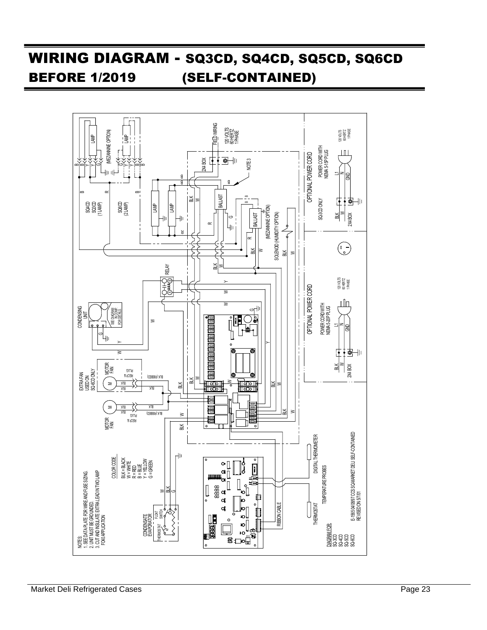## WIRING DIAGRAM - SQ3CD, SQ4CD, SQ5CD, SQ6CD BEFORE 1/2019 (SELF-CONTAINED)

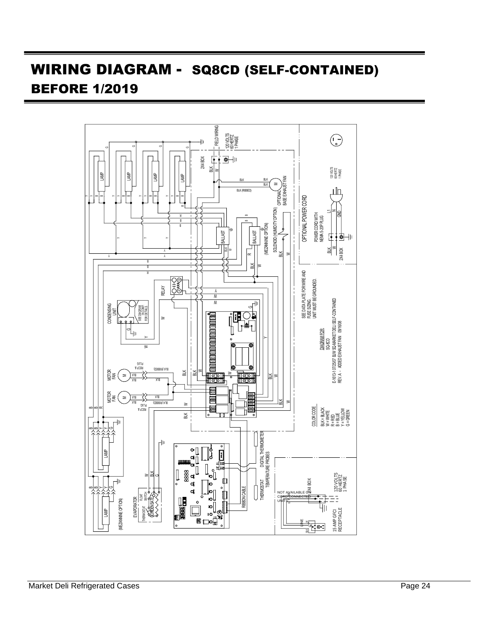## WIRING DIAGRAM - SQ8CD (SELF-CONTAINED) BEFORE 1/2019

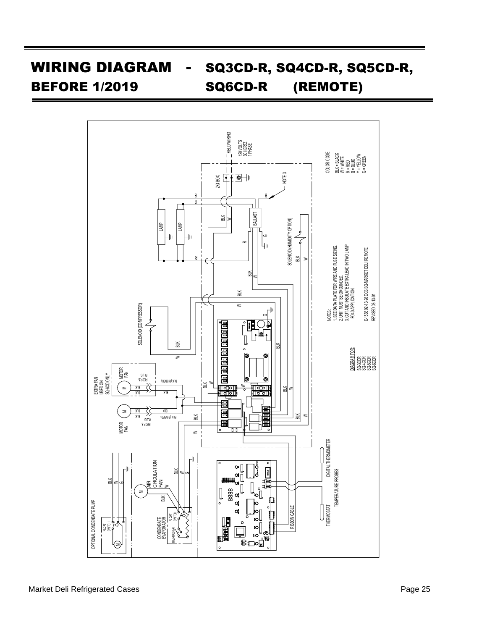# WIRING DIAGRAM - SQ3CD-R, SQ4CD-R, SQ5CD-R, BEFORE 1/2019 SQ6CD-R (REMOTE)

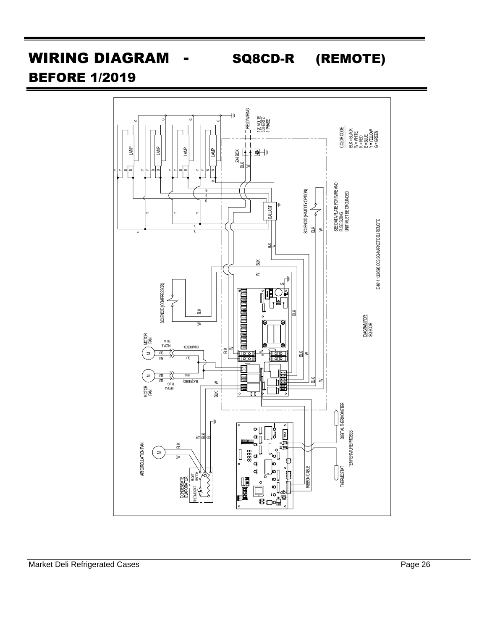## WIRING DIAGRAM - SQ8CD-R (REMOTE)

### BEFORE 1/2019

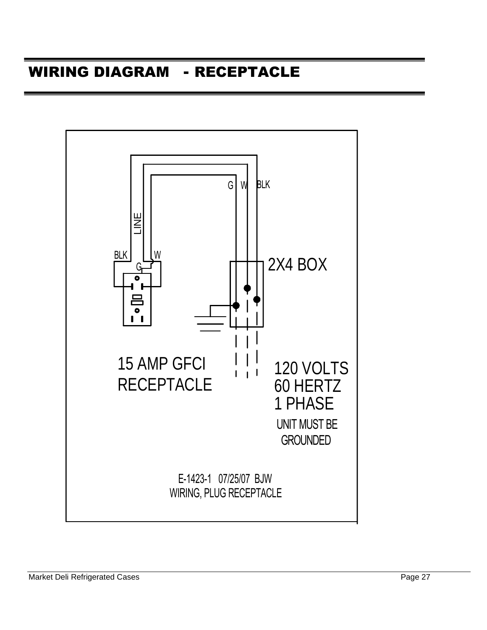### WIRING DIAGRAM - RECEPTACLE

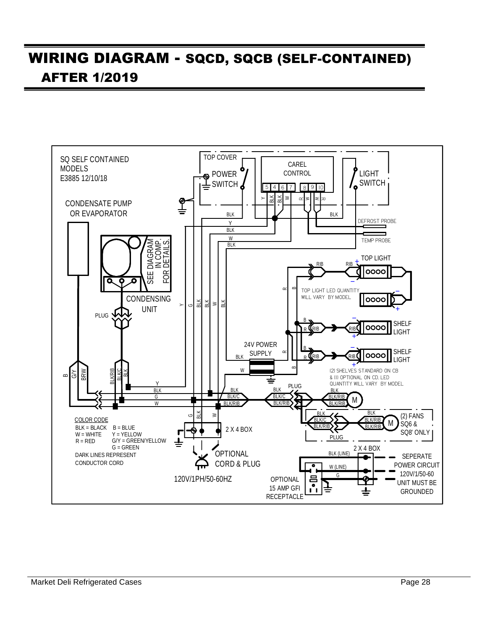## WIRING DIAGRAM - SQCD, SQCB (SELF-CONTAINED) AFTER 1/2019

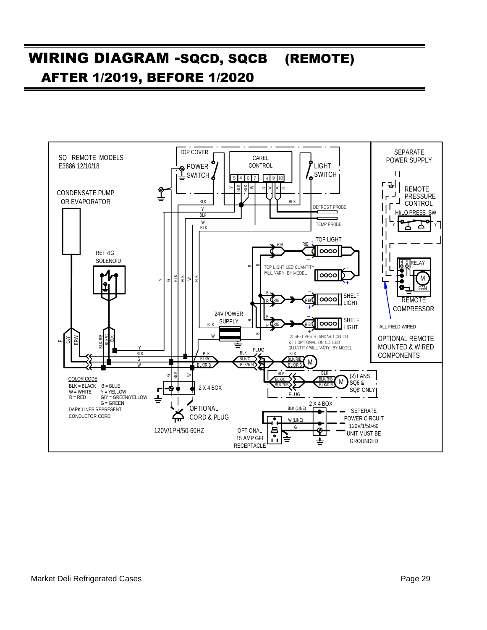## WIRING DIAGRAM -SQCD, SQCB (REMOTE) AFTER 1/2019, BEFORE 1/2020

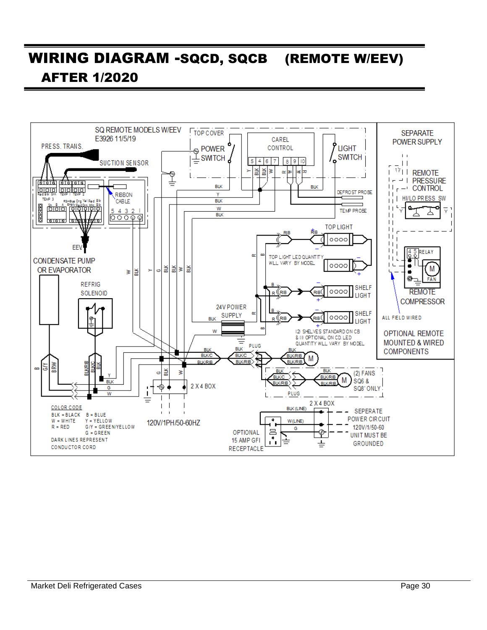## WIRING DIAGRAM -SQCD, SQCB (REMOTE W/EEV) AFTER 1/2020

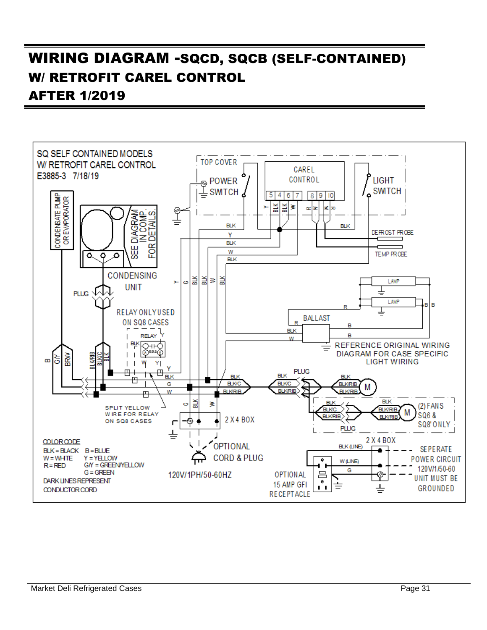### WIRING DIAGRAM -SQCD, SQCB (SELF-CONTAINED) W/ RETROFIT CAREL CONTROL AFTER 1/2019

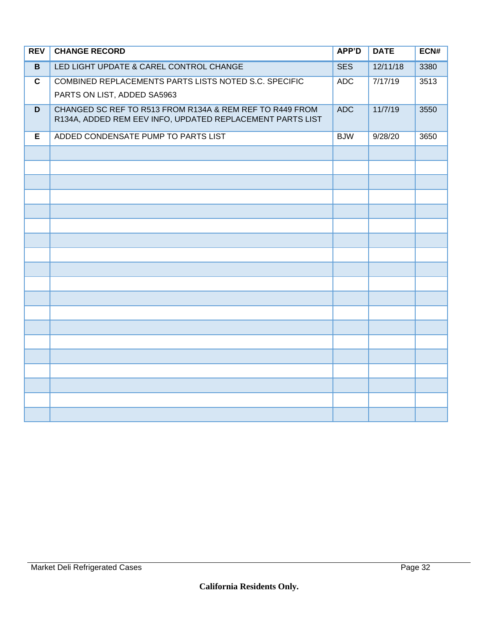| <b>REV</b>   | <b>CHANGE RECORD</b>                                                                                                  | <b>APP'D</b> | <b>DATE</b> | ECN# |
|--------------|-----------------------------------------------------------------------------------------------------------------------|--------------|-------------|------|
| B            | LED LIGHT UPDATE & CAREL CONTROL CHANGE                                                                               | <b>SES</b>   | 12/11/18    | 3380 |
| $\mathbf{C}$ | COMBINED REPLACEMENTS PARTS LISTS NOTED S.C. SPECIFIC                                                                 | <b>ADC</b>   | 7/17/19     | 3513 |
|              | PARTS ON LIST, ADDED SA5963                                                                                           |              |             |      |
| D            | CHANGED SC REF TO R513 FROM R134A & REM REF TO R449 FROM<br>R134A, ADDED REM EEV INFO, UPDATED REPLACEMENT PARTS LIST | <b>ADC</b>   | 11/7/19     | 3550 |
| E            | ADDED CONDENSATE PUMP TO PARTS LIST                                                                                   | <b>BJW</b>   | 9/28/20     | 3650 |
|              |                                                                                                                       |              |             |      |
|              |                                                                                                                       |              |             |      |
|              |                                                                                                                       |              |             |      |
|              |                                                                                                                       |              |             |      |
|              |                                                                                                                       |              |             |      |
|              |                                                                                                                       |              |             |      |
|              |                                                                                                                       |              |             |      |
|              |                                                                                                                       |              |             |      |
|              |                                                                                                                       |              |             |      |
|              |                                                                                                                       |              |             |      |
|              |                                                                                                                       |              |             |      |
|              |                                                                                                                       |              |             |      |
|              |                                                                                                                       |              |             |      |
|              |                                                                                                                       |              |             |      |
|              |                                                                                                                       |              |             |      |
|              |                                                                                                                       |              |             |      |
|              |                                                                                                                       |              |             |      |
|              |                                                                                                                       |              |             |      |
|              |                                                                                                                       |              |             |      |